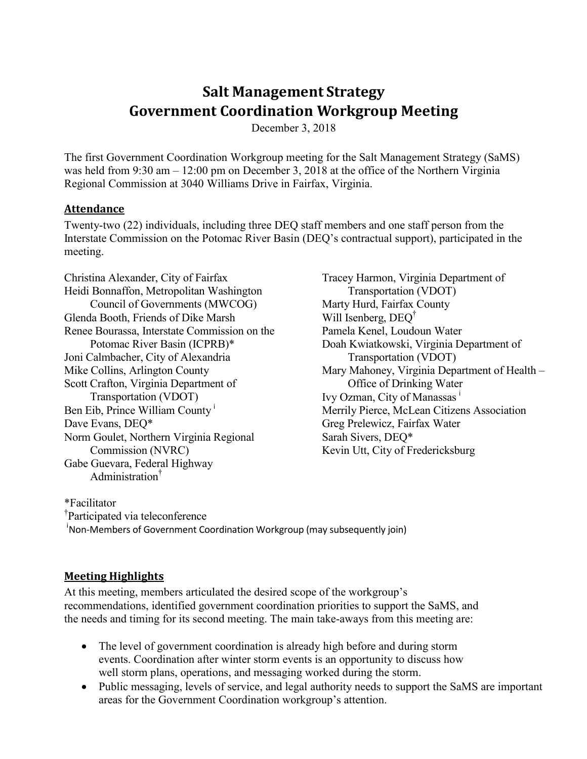# **Salt Management Strategy Government Coordination Workgroup Meeting**

December 3, 2018

The first Government Coordination Workgroup meeting for the Salt Management Strategy (SaMS) was held from 9:30 am – 12:00 pm on December 3, 2018 at the office of the Northern Virginia Regional Commission at 3040 Williams Drive in Fairfax, Virginia.

#### **Attendance**

Twenty-two (22) individuals, including three DEQ staff members and one staff person from the Interstate Commission on the Potomac River Basin (DEQ's contractual support), participated in the meeting.

Christina Alexander, City of Fairfax Heidi Bonnaffon, Metropolitan Washington Council of Governments (MWCOG) Glenda Booth, Friends of Dike Marsh Renee Bourassa, Interstate Commission on the Potomac River Basin (ICPRB)\* Joni Calmbacher, City of Alexandria Mike Collins, Arlington County Scott Crafton, Virginia Department of Transportation (VDOT) Ben Eib, Prince William County<sup>i</sup> Dave Evans, DEQ\* Norm Goulet, Northern Virginia Regional Commission (NVRC) Gabe Guevara, Federal Highway Administration†

Tracey Harmon, Virginia Department of Transportation (VDOT) Marty Hurd, Fairfax County Will Isenberg, DEQ<sup>†</sup> Pamela Kenel, Loudoun Water Doah Kwiatkowski, Virginia Department of Transportation (VDOT) Mary Mahoney, Virginia Department of Health – Office of Drinking Water Ivy Ozman, City of Manassas<sup>ⅰ</sup> Merrily Pierce, McLean Citizens Association Greg Prelewicz, Fairfax Water Sarah Sivers, DEQ\* Kevin Utt, City of Fredericksburg

\*Facilitator

† Participated via teleconference

<sup>i</sup>Non-Members of Government Coordination Workgroup (may subsequently join)

#### **Meeting Highlights**

At this meeting, members articulated the desired scope of the workgroup's recommendations, identified government coordination priorities to support the SaMS, and the needs and timing for its second meeting. The main take-aways from this meeting are:

- The level of government coordination is already high before and during storm events. Coordination after winter storm events is an opportunity to discuss how well storm plans, operations, and messaging worked during the storm.
- Public messaging, levels of service, and legal authority needs to support the SaMS are important areas for the Government Coordination workgroup's attention.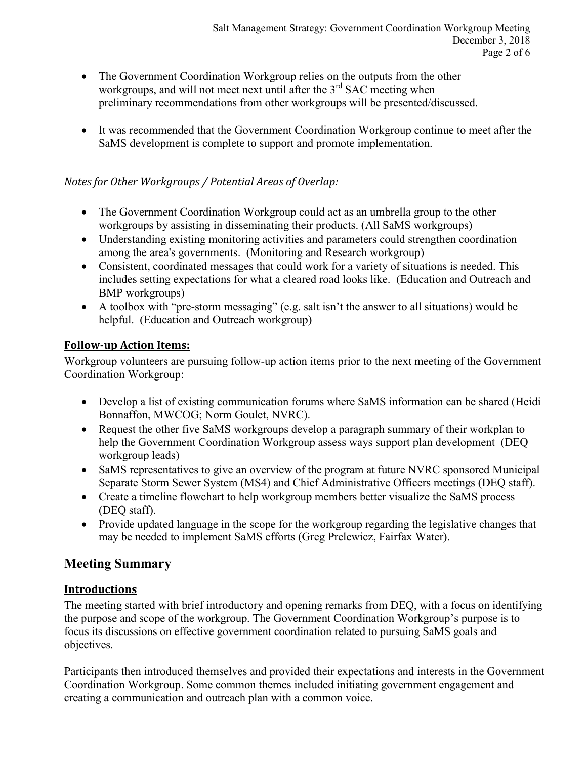- The Government Coordination Workgroup relies on the outputs from the other workgroups, and will not meet next until after the  $3<sup>rd</sup>$  SAC meeting when preliminary recommendations from other workgroups will be presented/discussed.
- It was recommended that the Government Coordination Workgroup continue to meet after the SaMS development is complete to support and promote implementation.

#### *Notes for Other Workgroups / Potential Areas of Overlap:*

- The Government Coordination Workgroup could act as an umbrella group to the other workgroups by assisting in disseminating their products. (All SaMS workgroups)
- Understanding existing monitoring activities and parameters could strengthen coordination among the area's governments. (Monitoring and Research workgroup)
- Consistent, coordinated messages that could work for a variety of situations is needed. This includes setting expectations for what a cleared road looks like. (Education and Outreach and BMP workgroups)
- A toolbox with "pre-storm messaging" (e.g. salt isn't the answer to all situations) would be helpful. (Education and Outreach workgroup)

# **Follow-up Action Items:**

Workgroup volunteers are pursuing follow-up action items prior to the next meeting of the Government Coordination Workgroup:

- Develop a list of existing communication forums where SaMS information can be shared (Heidi Bonnaffon, MWCOG; Norm Goulet, NVRC).
- Request the other five SaMS workgroups develop a paragraph summary of their workplan to help the Government Coordination Workgroup assess ways support plan development (DEQ workgroup leads)
- SaMS representatives to give an overview of the program at future NVRC sponsored Municipal Separate Storm Sewer System (MS4) and Chief Administrative Officers meetings (DEQ staff).
- Create a timeline flowchart to help workgroup members better visualize the SaMS process (DEQ staff).
- Provide updated language in the scope for the workgroup regarding the legislative changes that may be needed to implement SaMS efforts (Greg Prelewicz, Fairfax Water).

# **Meeting Summary**

# **Introductions**

The meeting started with brief introductory and opening remarks from DEQ, with a focus on identifying the purpose and scope of the workgroup. The Government Coordination Workgroup's purpose is to focus its discussions on effective government coordination related to pursuing SaMS goals and objectives.

Participants then introduced themselves and provided their expectations and interests in the Government Coordination Workgroup. Some common themes included initiating government engagement and creating a communication and outreach plan with a common voice.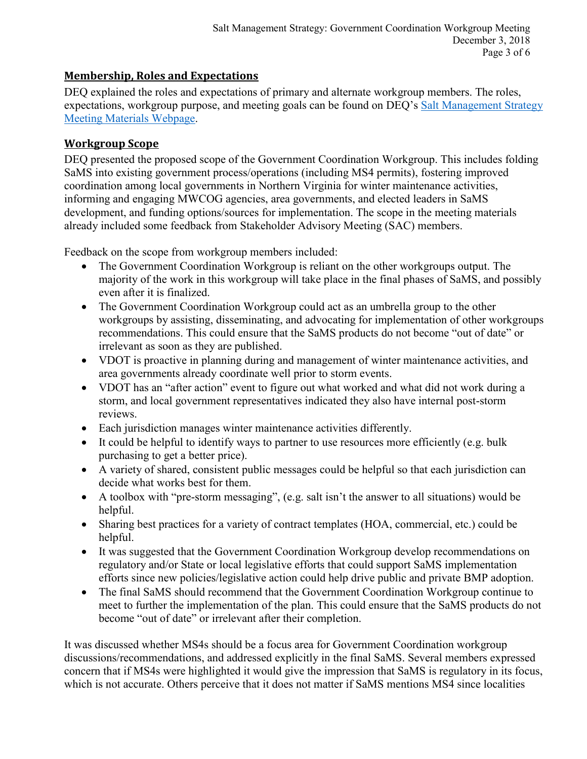# **Membership, Roles and Expectations**

DEQ explained the roles and expectations of primary and alternate workgroup members. The roles, expectations, workgroup purpose, and meeting goals can be found on DEQ's [Salt Management Strategy](https://www.deq.virginia.gov/SaMS/MeetingMaterials.aspx)  [Meeting Materials Webpage.](https://www.deq.virginia.gov/SaMS/MeetingMaterials.aspx)

#### **Workgroup Scope**

DEQ presented the proposed scope of the Government Coordination Workgroup. This includes folding SaMS into existing government process/operations (including MS4 permits), fostering improved coordination among local governments in Northern Virginia for winter maintenance activities, informing and engaging MWCOG agencies, area governments, and elected leaders in SaMS development, and funding options/sources for implementation. The scope in the meeting materials already included some feedback from Stakeholder Advisory Meeting (SAC) members.

Feedback on the scope from workgroup members included:

- The Government Coordination Workgroup is reliant on the other workgroups output. The majority of the work in this workgroup will take place in the final phases of SaMS, and possibly even after it is finalized.
- The Government Coordination Workgroup could act as an umbrella group to the other workgroups by assisting, disseminating, and advocating for implementation of other workgroups recommendations. This could ensure that the SaMS products do not become "out of date" or irrelevant as soon as they are published.
- VDOT is proactive in planning during and management of winter maintenance activities, and area governments already coordinate well prior to storm events.
- VDOT has an "after action" event to figure out what worked and what did not work during a storm, and local government representatives indicated they also have internal post-storm reviews.
- Each jurisdiction manages winter maintenance activities differently.
- It could be helpful to identify ways to partner to use resources more efficiently (e.g. bulk purchasing to get a better price).
- A variety of shared, consistent public messages could be helpful so that each jurisdiction can decide what works best for them.
- A toolbox with "pre-storm messaging", (e.g. salt isn't the answer to all situations) would be helpful.
- Sharing best practices for a variety of contract templates (HOA, commercial, etc.) could be helpful.
- It was suggested that the Government Coordination Workgroup develop recommendations on regulatory and/or State or local legislative efforts that could support SaMS implementation efforts since new policies/legislative action could help drive public and private BMP adoption.
- The final SaMS should recommend that the Government Coordination Workgroup continue to meet to further the implementation of the plan. This could ensure that the SaMS products do not become "out of date" or irrelevant after their completion.

It was discussed whether MS4s should be a focus area for Government Coordination workgroup discussions/recommendations, and addressed explicitly in the final SaMS. Several members expressed concern that if MS4s were highlighted it would give the impression that SaMS is regulatory in its focus, which is not accurate. Others perceive that it does not matter if SaMS mentions MS4 since localities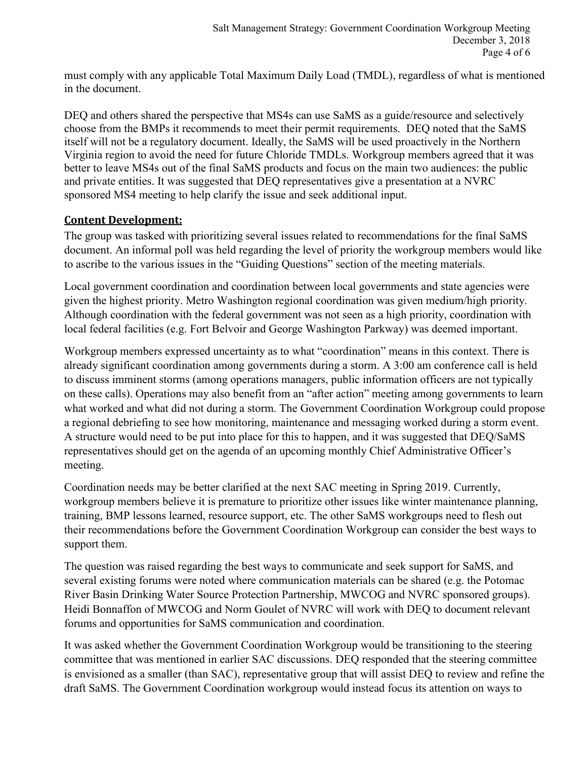must comply with any applicable Total Maximum Daily Load (TMDL), regardless of what is mentioned in the document.

DEQ and others shared the perspective that MS4s can use SaMS as a guide/resource and selectively choose from the BMPs it recommends to meet their permit requirements. DEQ noted that the SaMS itself will not be a regulatory document. Ideally, the SaMS will be used proactively in the Northern Virginia region to avoid the need for future Chloride TMDLs. Workgroup members agreed that it was better to leave MS4s out of the final SaMS products and focus on the main two audiences: the public and private entities. It was suggested that DEQ representatives give a presentation at a NVRC sponsored MS4 meeting to help clarify the issue and seek additional input.

# **Content Development:**

The group was tasked with prioritizing several issues related to recommendations for the final SaMS document. An informal poll was held regarding the level of priority the workgroup members would like to ascribe to the various issues in the "Guiding Questions" section of the meeting materials.

Local government coordination and coordination between local governments and state agencies were given the highest priority. Metro Washington regional coordination was given medium/high priority. Although coordination with the federal government was not seen as a high priority, coordination with local federal facilities (e.g. Fort Belvoir and George Washington Parkway) was deemed important.

Workgroup members expressed uncertainty as to what "coordination" means in this context. There is already significant coordination among governments during a storm. A 3:00 am conference call is held to discuss imminent storms (among operations managers, public information officers are not typically on these calls). Operations may also benefit from an "after action" meeting among governments to learn what worked and what did not during a storm. The Government Coordination Workgroup could propose a regional debriefing to see how monitoring, maintenance and messaging worked during a storm event. A structure would need to be put into place for this to happen, and it was suggested that DEQ/SaMS representatives should get on the agenda of an upcoming monthly Chief Administrative Officer's meeting.

Coordination needs may be better clarified at the next SAC meeting in Spring 2019. Currently, workgroup members believe it is premature to prioritize other issues like winter maintenance planning, training, BMP lessons learned, resource support, etc. The other SaMS workgroups need to flesh out their recommendations before the Government Coordination Workgroup can consider the best ways to support them.

The question was raised regarding the best ways to communicate and seek support for SaMS, and several existing forums were noted where communication materials can be shared (e.g. the Potomac River Basin Drinking Water Source Protection Partnership, MWCOG and NVRC sponsored groups). Heidi Bonnaffon of MWCOG and Norm Goulet of NVRC will work with DEQ to document relevant forums and opportunities for SaMS communication and coordination.

It was asked whether the Government Coordination Workgroup would be transitioning to the steering committee that was mentioned in earlier SAC discussions. DEQ responded that the steering committee is envisioned as a smaller (than SAC), representative group that will assist DEQ to review and refine the draft SaMS. The Government Coordination workgroup would instead focus its attention on ways to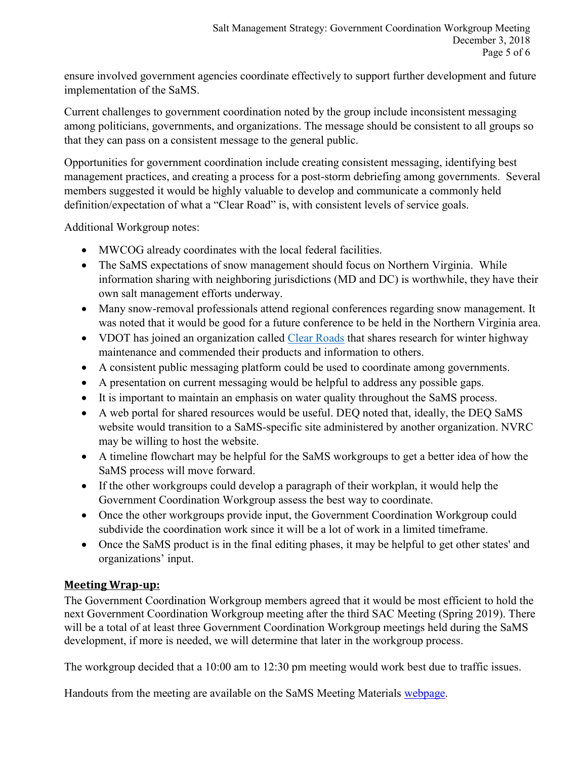ensure involved government agencies coordinate effectively to support further development and future implementation of the SaMS.

Current challenges to government coordination noted by the group include inconsistent messaging among politicians, governments, and organizations. The message should be consistent to all groups so that they can pass on a consistent message to the general public.

Opportunities for government coordination include creating consistent messaging, identifying best management practices, and creating a process for a post-storm debriefing among governments. Several members suggested it would be highly valuable to develop and communicate a commonly held definition/expectation of what a "Clear Road" is, with consistent levels of service goals.

Additional Workgroup notes:

- MWCOG already coordinates with the local federal facilities.
- The SaMS expectations of snow management should focus on Northern Virginia. While information sharing with neighboring jurisdictions (MD and DC) is worthwhile, they have their own salt management efforts underway.
- Many snow-removal professionals attend regional conferences regarding snow management. It was noted that it would be good for a future conference to be held in the Northern Virginia area.
- VDOT has joined an organization called [Clear Roads](http://clearroads.org/) that shares research for winter highway maintenance and commended their products and information to others.
- A consistent public messaging platform could be used to coordinate among governments.
- A presentation on current messaging would be helpful to address any possible gaps.
- It is important to maintain an emphasis on water quality throughout the SaMS process.
- A web portal for shared resources would be useful. DEQ noted that, ideally, the DEQ SaMS website would transition to a SaMS-specific site administered by another organization. NVRC may be willing to host the website.
- A timeline flowchart may be helpful for the SaMS workgroups to get a better idea of how the SaMS process will move forward.
- If the other workgroups could develop a paragraph of their workplan, it would help the Government Coordination Workgroup assess the best way to coordinate.
- Once the other workgroups provide input, the Government Coordination Workgroup could subdivide the coordination work since it will be a lot of work in a limited timeframe.
- Once the SaMS product is in the final editing phases, it may be helpful to get other states' and organizations' input.

# **Meeting Wrap-up:**

The Government Coordination Workgroup members agreed that it would be most efficient to hold the next Government Coordination Workgroup meeting after the third SAC Meeting (Spring 2019). There will be a total of at least three Government Coordination Workgroup meetings held during the SaMS development, if more is needed, we will determine that later in the workgroup process.

The workgroup decided that a 10:00 am to 12:30 pm meeting would work best due to traffic issues.

Handouts from the meeting are available on the SaMS Meeting Materials [webpage.](https://www.deq.virginia.gov/SaMS/MeetingMaterials.aspx)